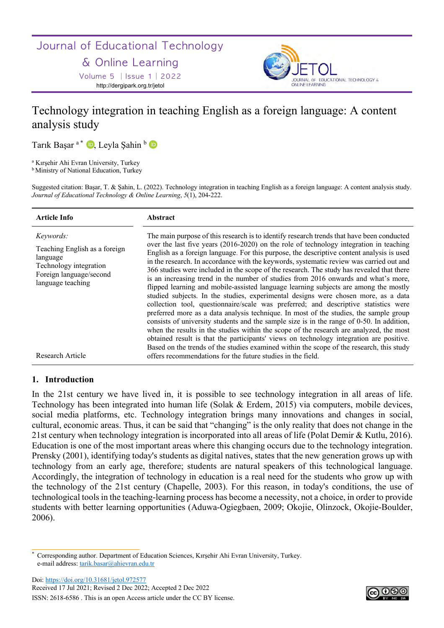Journal of Educational Technology

## & Online Learning

Volume 5 │Issue 1│2022 http://dergipark.org.tr/jetol



# Technology integration in teaching English as a foreign language: A content analysis study

Tarık Başar<sup>a\*</sup> D, Leyla Şahin b D

<sup>a</sup> Kırşehir Ahi Evran University, Turkey

**b Ministry of National Education, Turkey** 

Suggested citation: Başar, T. & Şahin, L. (2022). Technology integration in teaching English as a foreign language: A content analysis study. *Journal of Educational Technology & Online Learning*, *5*(1), 204-222.

| <b>Article Info</b>                                                                                                                     | Abstract                                                                                                                                                                                                                                                                                                                                                                                                                                                                                                                                                                                                                                                                                                                                                                                                                                                                                                                                                                                                                                                                                                                                                                                                                                                                                                    |
|-----------------------------------------------------------------------------------------------------------------------------------------|-------------------------------------------------------------------------------------------------------------------------------------------------------------------------------------------------------------------------------------------------------------------------------------------------------------------------------------------------------------------------------------------------------------------------------------------------------------------------------------------------------------------------------------------------------------------------------------------------------------------------------------------------------------------------------------------------------------------------------------------------------------------------------------------------------------------------------------------------------------------------------------------------------------------------------------------------------------------------------------------------------------------------------------------------------------------------------------------------------------------------------------------------------------------------------------------------------------------------------------------------------------------------------------------------------------|
| <i>Keywords:</i><br>Teaching English as a foreign<br>language<br>Technology integration<br>Foreign language/second<br>language teaching | The main purpose of this research is to identify research trends that have been conducted<br>over the last five years (2016-2020) on the role of technology integration in teaching<br>English as a foreign language. For this purpose, the descriptive content analysis is used<br>in the research. In accordance with the keywords, systematic review was carried out and<br>366 studies were included in the scope of the research. The study has revealed that there<br>is an increasing trend in the number of studies from 2016 onwards and what's more,<br>flipped learning and mobile-assisted language learning subjects are among the mostly<br>studied subjects. In the studies, experimental designs were chosen more, as a data<br>collection tool, questionnaire/scale was preferred; and descriptive statistics were<br>preferred more as a data analysis technique. In most of the studies, the sample group<br>consists of university students and the sample size is in the range of 0-50. In addition,<br>when the results in the studies within the scope of the research are analyzed, the most<br>obtained result is that the participants' views on technology integration are positive.<br>Based on the trends of the studies examined within the scope of the research, this study |
| Research Article                                                                                                                        | offers recommendations for the future studies in the field.                                                                                                                                                                                                                                                                                                                                                                                                                                                                                                                                                                                                                                                                                                                                                                                                                                                                                                                                                                                                                                                                                                                                                                                                                                                 |

### **1. Introduction**

In the 21st century we have lived in, it is possible to see technology integration in all areas of life. Technology has been integrated into human life (Solak & Erdem, 2015) via computers, mobile devices, social media platforms, etc. Technology integration brings many innovations and changes in social, cultural, economic areas. Thus, it can be said that "changing" is the only reality that does not change in the 21st century when technology integration is incorporated into all areas of life (Polat Demir & Kutlu, 2016). Education is one of the most important areas where this changing occurs due to the technology integration. Prensky (2001), identifying today's students as digital natives, states that the new generation grows up with technology from an early age, therefore; students are natural speakers of this technological language. Accordingly, the integration of technology in education is a real need for the students who grow up with the technology of the 21st century (Chapelle, 2003). For this reason, in today's conditions, the use of technological tools in the teaching-learning process has become a necessity, not a choice, in order to provide students with better learning opportunities (Aduwa-Ogiegbaen, 2009; Okojie, Olinzock, Okojie-Boulder, 2006).

Doi: https://doi.org/10.31681/jetol.972577 Received 17 Jul 2021; Revised 2 Dec 2022; Accepted 2 Dec 2022

ISSN: 2618-6586 . This is an open Access article under the CC BY license.



<sup>\*</sup> Corresponding author. Department of Education Sciences, Kırşehir Ahi Evran University, Turkey. e-mail address: tarik.basar@ahievran.edu.tr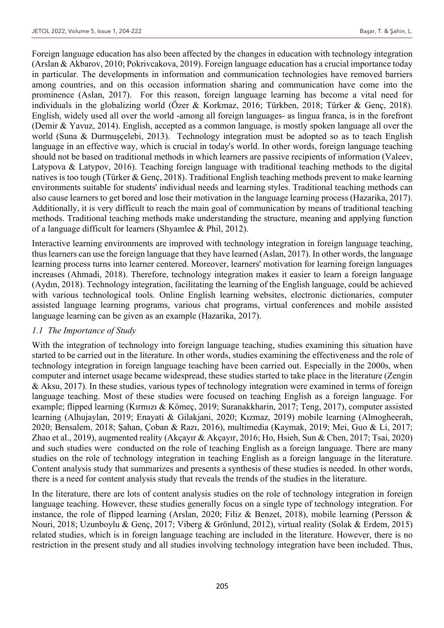Foreign language education has also been affected by the changes in education with technology integration (Arslan & Akbarov, 2010; Pokrivcakova, 2019). Foreign language education has a crucial importance today in particular. The developments in information and communication technologies have removed barriers among countries, and on this occasion information sharing and communication have come into the prominence (Aslan, 2017). For this reason, foreign language learning has become a vital need for individuals in the globalizing world (Özer & Korkmaz, 2016; Türkben, 2018; Türker & Genç, 2018). English, widely used all over the world -among all foreign languages- as lingua franca, is in the forefront (Demir & Yavuz, 2014). English, accepted as a common language, is mostly spoken language all over the world (Suna & Durmuşçelebi, 2013). Technology integration must be adopted so as to teach English language in an effective way, which is crucial in today's world. In other words, foreign language teaching should not be based on traditional methods in which learners are passive recipients of information (Valeev, Latypova & Latypov, 2016). Teaching foreign language with traditional teaching methods to the digital natives is too tough (Türker & Genç, 2018). Traditional English teaching methods prevent to make learning environments suitable for students' individual needs and learning styles. Traditional teaching methods can also cause learners to get bored and lose their motivation in the language learning process (Hazarika, 2017). Additionally, it is very difficult to reach the main goal of communication by means of traditional teaching methods. Traditional teaching methods make understanding the structure, meaning and applying function of a language difficult for learners (Shyamlee & Phil, 2012).

Interactive learning environments are improved with technology integration in foreign language teaching, thus learners can use the foreign language that they have learned (Aslan, 2017). In other words, the language learning process turns into learner centered. Moreover, learners' motivation for learning foreign languages increases (Ahmadi, 2018). Therefore, technology integration makes it easier to learn a foreign language (Aydın, 2018). Technology integration, facilitating the learning of the English language, could be achieved with various technological tools. Online English learning websites, electronic dictionaries, computer assisted language learning programs, various chat programs, virtual conferences and mobile assisted language learning can be given as an example (Hazarika, 2017).

### *1.1 The Importance of Study*

With the integration of technology into foreign language teaching, studies examining this situation have started to be carried out in the literature. In other words, studies examining the effectiveness and the role of technology integration in foreign language teaching have been carried out. Especially in the 2000s, when computer and internet usage became widespread, these studies started to take place in the literature (Zengin & Aksu, 2017). In these studies, various types of technology integration were examined in terms of foreign language teaching. Most of these studies were focused on teaching English as a foreign language. For example; flipped learning (Kırmızı & Kömeç, 2019; Suranakkharin, 2017; Teng, 2017), computer assisted learning (Alhujaylan, 2019; Enayati & Gilakjani, 2020; Kızmaz, 2019) mobile learning (Almogheerah, 2020; Bensalem, 2018; Şahan, Çoban & Razı, 2016), multimedia (Kaymak, 2019; Mei, Guo & Li, 2017; Zhao et al., 2019), augmented reality (Akçayır & Akçayır, 2016; Ho, Hsieh, Sun & Chen, 2017; Tsai, 2020) and such studies were conducted on the role of teaching English as a foreign language. There are many studies on the role of technology integration in teaching English as a foreign language in the literature. Content analysis study that summarizes and presents a synthesis of these studies is needed. In other words, there is a need for content analysis study that reveals the trends of the studies in the literature.

In the literature, there are lots of content analysis studies on the role of technology integration in foreign language teaching. However, these studies generally focus on a single type of technology integration. For instance, the role of flipped learning (Arslan, 2020; Filiz & Benzet, 2018), mobile learning (Persson & Nouri, 2018; Uzunboylu & Genç, 2017; Viberg & Grönlund, 2012), virtual reality (Solak & Erdem, 2015) related studies, which is in foreign language teaching are included in the literature. However, there is no restriction in the present study and all studies involving technology integration have been included. Thus,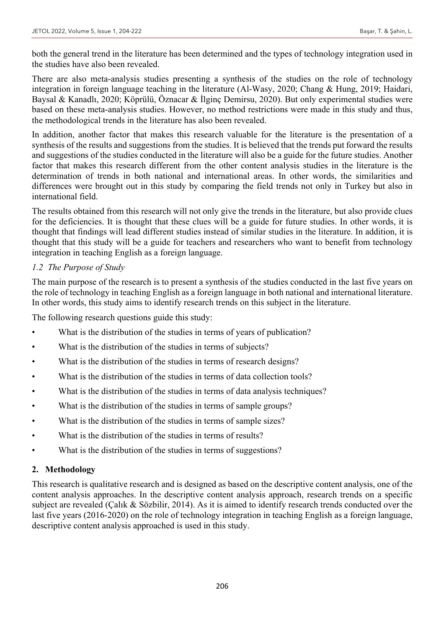both the general trend in the literature has been determined and the types of technology integration used in the studies have also been revealed.

There are also meta-analysis studies presenting a synthesis of the studies on the role of technology integration in foreign language teaching in the literature (Al-Wasy, 2020; Chang & Hung, 2019; Haidari, Baysal & Kanadlı, 2020; Köprülü, Öznacar & İlginç Demirsu, 2020). But only experimental studies were based on these meta-analysis studies. However, no method restrictions were made in this study and thus, the methodological trends in the literature has also been revealed.

In addition, another factor that makes this research valuable for the literature is the presentation of a synthesis of the results and suggestions from the studies. It is believed that the trends put forward the results and suggestions of the studies conducted in the literature will also be a guide for the future studies. Another factor that makes this research different from the other content analysis studies in the literature is the determination of trends in both national and international areas. In other words, the similarities and differences were brought out in this study by comparing the field trends not only in Turkey but also in international field.

The results obtained from this research will not only give the trends in the literature, but also provide clues for the deficiencies. It is thought that these clues will be a guide for future studies. In other words, it is thought that findings will lead different studies instead of similar studies in the literature. In addition, it is thought that this study will be a guide for teachers and researchers who want to benefit from technology integration in teaching English as a foreign language.

### *1.2 The Purpose of Study*

The main purpose of the research is to present a synthesis of the studies conducted in the last five years on the role of technology in teaching English as a foreign language in both national and international literature. In other words, this study aims to identify research trends on this subject in the literature.

The following research questions guide this study:

- What is the distribution of the studies in terms of years of publication?
- What is the distribution of the studies in terms of subjects?
- What is the distribution of the studies in terms of research designs?
- What is the distribution of the studies in terms of data collection tools?
- What is the distribution of the studies in terms of data analysis techniques?
- What is the distribution of the studies in terms of sample groups?
- What is the distribution of the studies in terms of sample sizes?
- What is the distribution of the studies in terms of results?
- What is the distribution of the studies in terms of suggestions?

### **2. Methodology**

This research is qualitative research and is designed as based on the descriptive content analysis, one of the content analysis approaches. In the descriptive content analysis approach, research trends on a specific subject are revealed (Çalık & Sözbilir, 2014). As it is aimed to identify research trends conducted over the last five years (2016-2020) on the role of technology integration in teaching English as a foreign language, descriptive content analysis approached is used in this study.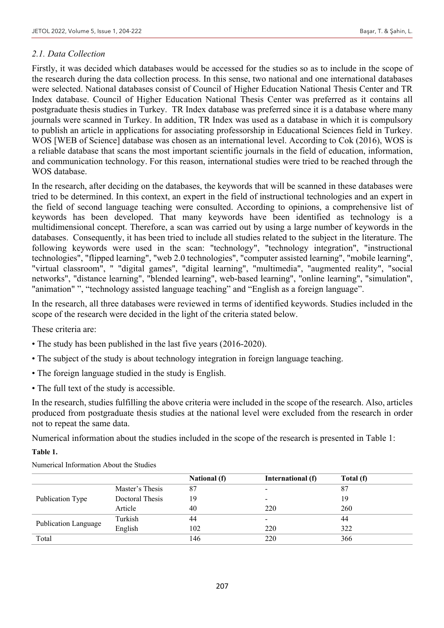### *2.1. Data Collection*

Firstly, it was decided which databases would be accessed for the studies so as to include in the scope of the research during the data collection process. In this sense, two national and one international databases were selected. National databases consist of Council of Higher Education National Thesis Center and TR Index database. Council of Higher Education National Thesis Center was preferred as it contains all postgraduate thesis studies in Turkey. TR Index database was preferred since it is a database where many journals were scanned in Turkey. In addition, TR Index was used as a database in which it is compulsory to publish an article in applications for associating professorship in Educational Sciences field in Turkey. WOS [WEB of Science] database was chosen as an international level. According to Cok (2016), WOS is a reliable database that scans the most important scientific journals in the field of education, information, and communication technology. For this reason, international studies were tried to be reached through the WOS database.

In the research, after deciding on the databases, the keywords that will be scanned in these databases were tried to be determined. In this context, an expert in the field of instructional technologies and an expert in the field of second language teaching were consulted. According to opinions, a comprehensive list of keywords has been developed. That many keywords have been identified as technology is a multidimensional concept. Therefore, a scan was carried out by using a large number of keywords in the databases. Consequently, it has been tried to include all studies related to the subject in the literature. The following keywords were used in the scan: "technology", "technology integration", "instructional technologies", "flipped learning", "web 2.0 technologies", "computer assisted learning", "mobile learning", "virtual classroom", " "digital games", "digital learning", "multimedia", "augmented reality", "social networks", "distance learning", "blended learning", web-based learning", "online learning", "simulation", "animation" ", "technology assisted language teaching" and "English as a foreign language".

In the research, all three databases were reviewed in terms of identified keywords. Studies included in the scope of the research were decided in the light of the criteria stated below.

These criteria are:

- The study has been published in the last five years (2016-2020).
- The subject of the study is about technology integration in foreign language teaching.
- The foreign language studied in the study is English.
- The full text of the study is accessible.

In the research, studies fulfilling the above criteria were included in the scope of the research. Also, articles produced from postgraduate thesis studies at the national level were excluded from the research in order not to repeat the same data.

Numerical information about the studies included in the scope of the research is presented in Table 1:

#### **Table 1.**

|                      |                 | <b>National</b> (f) | International (f) | Total (f) |
|----------------------|-----------------|---------------------|-------------------|-----------|
|                      | Master's Thesis | 87                  |                   | 87        |
| Publication Type     | Doctoral Thesis | 19                  |                   | 19        |
|                      | Article         | 40                  | 220               | 260       |
| Publication Language | Turkish         | 44                  |                   | 44        |
|                      | English         | 102                 | 220               | 322       |
| Total                |                 | 146                 | 220               | 366       |

Numerical Information About the Studies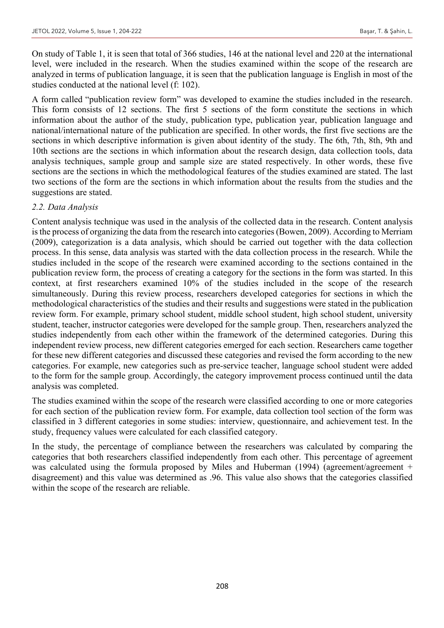On study of Table 1, it is seen that total of 366 studies, 146 at the national level and 220 at the international level, were included in the research. When the studies examined within the scope of the research are analyzed in terms of publication language, it is seen that the publication language is English in most of the studies conducted at the national level (f: 102).

A form called "publication review form" was developed to examine the studies included in the research. This form consists of 12 sections. The first 5 sections of the form constitute the sections in which information about the author of the study, publication type, publication year, publication language and national/international nature of the publication are specified. In other words, the first five sections are the sections in which descriptive information is given about identity of the study. The 6th, 7th, 8th, 9th and 10th sections are the sections in which information about the research design, data collection tools, data analysis techniques, sample group and sample size are stated respectively. In other words, these five sections are the sections in which the methodological features of the studies examined are stated. The last two sections of the form are the sections in which information about the results from the studies and the suggestions are stated.

### *2.2. Data Analysis*

Content analysis technique was used in the analysis of the collected data in the research. Content analysis is the process of organizing the data from the research into categories (Bowen, 2009). According to Merriam (2009), categorization is a data analysis, which should be carried out together with the data collection process. In this sense, data analysis was started with the data collection process in the research. While the studies included in the scope of the research were examined according to the sections contained in the publication review form, the process of creating a category for the sections in the form was started. In this context, at first researchers examined 10% of the studies included in the scope of the research simultaneously. During this review process, researchers developed categories for sections in which the methodological characteristics of the studies and their results and suggestions were stated in the publication review form. For example, primary school student, middle school student, high school student, university student, teacher, instructor categories were developed for the sample group. Then, researchers analyzed the studies independently from each other within the framework of the determined categories. During this independent review process, new different categories emerged for each section. Researchers came together for these new different categories and discussed these categories and revised the form according to the new categories. For example, new categories such as pre-service teacher, language school student were added to the form for the sample group. Accordingly, the category improvement process continued until the data analysis was completed.

The studies examined within the scope of the research were classified according to one or more categories for each section of the publication review form. For example, data collection tool section of the form was classified in 3 different categories in some studies: interview, questionnaire, and achievement test. In the study, frequency values were calculated for each classified category.

In the study, the percentage of compliance between the researchers was calculated by comparing the categories that both researchers classified independently from each other. This percentage of agreement was calculated using the formula proposed by Miles and Huberman (1994) (agreement/agreement + disagreement) and this value was determined as .96. This value also shows that the categories classified within the scope of the research are reliable.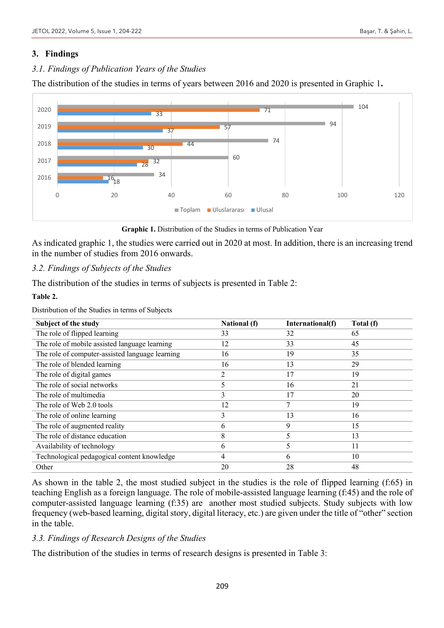### **3. Findings**

### *3.1. Findings of Publication Years of the Studies*

The distribution of the studies in terms of years between 2016 and 2020 is presented in Graphic 1**.** 



**Graphic 1.** Distribution of the Studies in terms of Publication Year

As indicated graphic 1, the studies were carried out in 2020 at most. In addition, there is an increasing trend in the number of studies from 2016 onwards.

### *3.2. Findings of Subjects of the Studies*

The distribution of the studies in terms of subjects is presented in Table 2:

### **Table 2.**

Distribution of the Studies in terms of Subjects

| Subject of the study                            | <b>National</b> (f) | International(f) | Total (f) |
|-------------------------------------------------|---------------------|------------------|-----------|
| The role of flipped learning                    | 33                  | 32               | 65        |
| The role of mobile assisted language learning   | 12                  | 33               | 45        |
| The role of computer-assisted language learning | 16                  | 19               | 35        |
| The role of blended learning                    | 16                  | 13               | 29        |
| The role of digital games                       | 2                   | 17               | 19        |
| The role of social networks                     | 5                   | 16               | 21        |
| The role of multimedia                          | 3                   | 17               | 20        |
| The role of Web 2.0 tools                       | 12                  | 7                | 19        |
| The role of online learning                     | 3                   | 13               | 16        |
| The role of augmented reality                   | 6                   | 9                | 15        |
| The role of distance education                  | 8                   | 5                | 13        |
| Availability of technology                      | 6                   | 5                | 11        |
| Technological pedagogical content knowledge     | 4                   | 6                | 10        |
| Other                                           | 20                  | 28               | 48        |

As shown in the table 2, the most studied subject in the studies is the role of flipped learning (f:65) in teaching English as a foreign language. The role of mobile-assisted language learning (f:45) and the role of computer-assisted language learning (f:35) are another most studied subjects. Study subjects with low frequency (web-based learning, digital story, digital literacy, etc.) are given under the title of "other" section in the table.

### *3.3. Findings of Research Designs of the Studies*

The distribution of the studies in terms of research designs is presented in Table 3: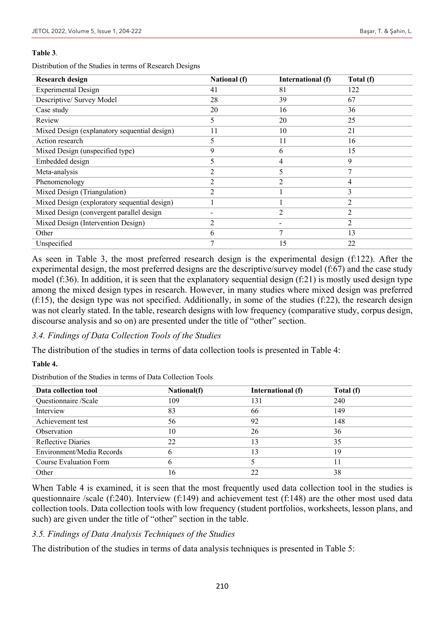#### **Table 3**.

Distribution of the Studies in terms of Research Designs

| <b>Research design</b>                       | <b>National</b> (f) | International (f) | Total (f)      |
|----------------------------------------------|---------------------|-------------------|----------------|
| <b>Experimental Design</b>                   | 41                  | 81                | 122            |
| Descriptive/ Survey Model                    | 28                  | 39                | 67             |
| Case study                                   | 20                  | 16                | 36             |
| Review                                       | 5                   | 20                | 25             |
| Mixed Design (explanatory sequential design) | 11                  | 10                | 21             |
| Action research                              | 5                   | 11                | 16             |
| Mixed Design (unspecified type)              | 9                   | 6                 | 15             |
| Embedded design                              | ć                   | 4                 | 9              |
| Meta-analysis                                |                     | 5                 | $\overline{7}$ |
| Phenomenology                                | $\mathfrak{D}$      | $\mathfrak{D}$    | 4              |
| Mixed Design (Triangulation)                 |                     |                   | 3              |
| Mixed Design (exploratory sequential design) |                     |                   | $\overline{2}$ |
| Mixed Design (convergent parallel design     |                     | $\overline{2}$    | $\overline{c}$ |
| Mixed Design (Intervention Design)           | $\mathfrak{D}$      |                   | 2              |
| Other                                        | h                   |                   | 13             |
| Unspecified                                  |                     | 15                | 22             |

As seen in Table 3, the most preferred research design is the experimental design (f:122). After the experimental design, the most preferred designs are the descriptive/survey model (f:67) and the case study model (f:36). In addition, it is seen that the explanatory sequential design (f:21) is mostly used design type among the mixed design types in research. However, in many studies where mixed design was preferred (f:15), the design type was not specified. Additionally, in some of the studies (f:22), the research design was not clearly stated. In the table, research designs with low frequency (comparative study, corpus design, discourse analysis and so on) are presented under the title of "other" section.

#### *3.4. Findings of Data Collection Tools of the Studies*

The distribution of the studies in terms of data collection tools is presented in Table 4:

#### **Table 4.**

Distribution of the Studies in terms of Data Collection Tools

| Data collection tool          | National(f) | International (f) | Total (f) |
|-------------------------------|-------------|-------------------|-----------|
| Questionnaire /Scale          | 109         | 131               | 240       |
| Interview                     | 83          | 66                | 149       |
| Achievement test              | 56          | 92                | 148       |
| Observation                   | 10          | 26                | 36        |
| Reflective Diaries            | 22          | 13                | 35        |
| Environment/Media Records     |             | 13                | 19        |
| <b>Course Evaluation Form</b> |             |                   |           |
| Other                         | Iб          | 22                | 38        |

When Table 4 is examined, it is seen that the most frequently used data collection tool in the studies is questionnaire /scale (f:240). Interview (f:149) and achievement test (f:148) are the other most used data collection tools. Data collection tools with low frequency (student portfolios, worksheets, lesson plans, and such) are given under the title of "other" section in the table.

#### *3.5. Findings of Data Analysis Techniques of the Studies*

The distribution of the studies in terms of data analysis techniques is presented in Table 5: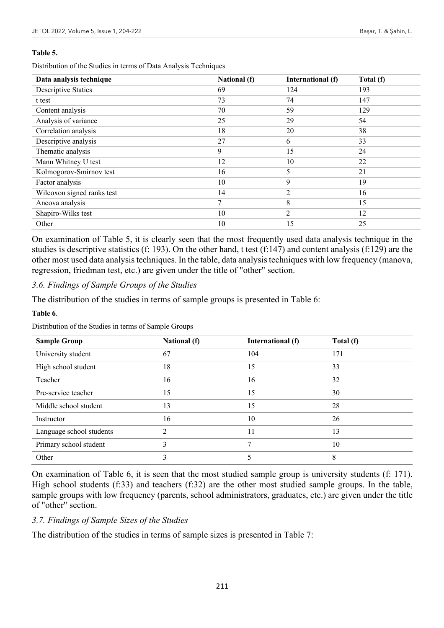#### **Table 5.**

Distribution of the Studies in terms of Data Analysis Techniques

| Data analysis technique    | <b>National</b> (f) | International (f) | Total (f) |
|----------------------------|---------------------|-------------------|-----------|
| <b>Descriptive Statics</b> | 69                  | 124               | 193       |
| t test                     | 73                  | 74                | 147       |
| Content analysis           | 70                  | 59                | 129       |
| Analysis of variance       | 25                  | 29                | 54        |
| Correlation analysis       | 18                  | 20                | 38        |
| Descriptive analysis       | 27                  | 6                 | 33        |
| Thematic analysis          | 9                   | 15                | 24        |
| Mann Whitney U test        | 12                  | 10                | 22        |
| Kolmogorov-Smirnov test    | 16                  |                   | 21        |
| Factor analysis            | 10                  | 9                 | 19        |
| Wilcoxon signed ranks test | 14                  | $\overline{c}$    | 16        |
| Ancova analysis            | 7                   | 8                 | 15        |
| Shapiro-Wilks test         | 10                  | 2                 | 12        |
| Other                      | 10                  | 15                | 25        |

On examination of Table 5, it is clearly seen that the most frequently used data analysis technique in the studies is descriptive statistics (f: 193). On the other hand, t test (f:147) and content analysis (f:129) are the other most used data analysis techniques. In the table, data analysis techniques with low frequency (manova, regression, friedman test, etc.) are given under the title of "other" section.

### *3.6. Findings of Sample Groups of the Studies*

The distribution of the studies in terms of sample groups is presented in Table 6:

#### **Table 6**.

Distribution of the Studies in terms of Sample Groups

| <b>Sample Group</b>      | <b>National</b> (f) | International (f) | Total (f) |
|--------------------------|---------------------|-------------------|-----------|
| University student       | 67                  | 104               | 171       |
| High school student      | 18                  | 15                | 33        |
| Teacher                  | 16                  | 16                | 32        |
| Pre-service teacher      | 15                  | 15                | 30        |
| Middle school student    | 13                  | 15                | 28        |
| Instructor               | 16                  | 10                | 26        |
| Language school students | $\mathfrak{D}$      | 11                | 13        |
| Primary school student   | 3                   | 7                 | 10        |
| Other                    | 3                   |                   | 8         |

On examination of Table 6, it is seen that the most studied sample group is university students (f: 171). High school students (f:33) and teachers (f:32) are the other most studied sample groups. In the table, sample groups with low frequency (parents, school administrators, graduates, etc.) are given under the title of "other" section.

### *3.7. Findings of Sample Sizes of the Studies*

The distribution of the studies in terms of sample sizes is presented in Table 7: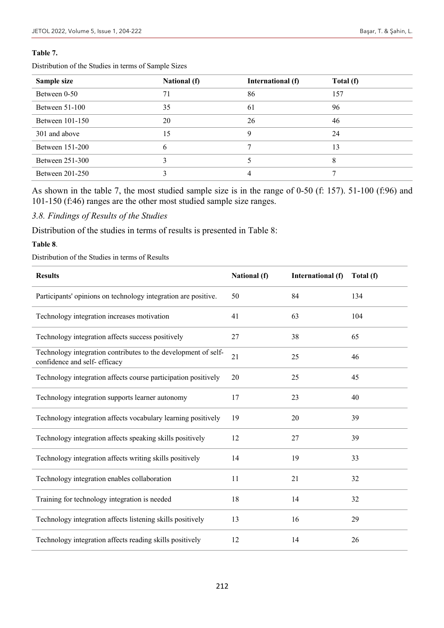#### **Table 7.**

Distribution of the Studies in terms of Sample Sizes

| Sample size      | <b>National</b> (f) | International (f) | Total (f) |
|------------------|---------------------|-------------------|-----------|
| Between 0-50     | 71                  | 86                | 157       |
| Between $51-100$ | 35                  | 61                | 96        |
| Between 101-150  | 20                  | 26                | 46        |
| 301 and above    | 15                  | 9                 | 24        |
| Between 151-200  | b                   | −                 | 13        |
| Between 251-300  |                     |                   |           |
| Between 201-250  |                     | 4                 |           |

As shown in the table 7, the most studied sample size is in the range of 0-50 (f: 157). 51-100 (f:96) and 101-150 (f:46) ranges are the other most studied sample size ranges.

*3.8. Findings of Results of the Studies*

Distribution of the studies in terms of results is presented in Table 8:

#### **Table 8**.

Distribution of the Studies in terms of Results

| <b>Results</b>                                                                                 | National (f) | International (f) | Total (f) |
|------------------------------------------------------------------------------------------------|--------------|-------------------|-----------|
| Participants' opinions on technology integration are positive.                                 | 50           | 84                | 134       |
| Technology integration increases motivation                                                    | 41           | 63                | 104       |
| Technology integration affects success positively                                              | 27           | 38                | 65        |
| Technology integration contributes to the development of self-<br>confidence and self-efficacy | 21           | 25                | 46        |
| Technology integration affects course participation positively                                 | 20           | 25                | 45        |
| Technology integration supports learner autonomy                                               | 17           | 23                | 40        |
| Technology integration affects vocabulary learning positively                                  | 19           | 20                | 39        |
| Technology integration affects speaking skills positively                                      | 12           | 27                | 39        |
| Technology integration affects writing skills positively                                       | 14           | 19                | 33        |
| Technology integration enables collaboration                                                   | 11           | 21                | 32        |
| Training for technology integration is needed                                                  | 18           | 14                | 32        |
| Technology integration affects listening skills positively                                     | 13           | 16                | 29        |
| Technology integration affects reading skills positively                                       | 12           | 14                | 26        |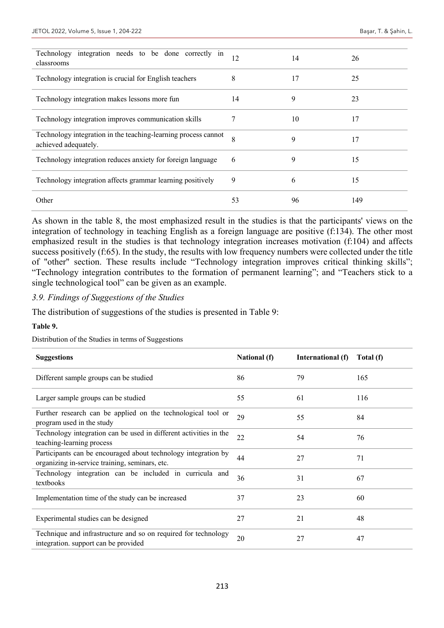| integration needs to be done correctly in<br>Technology<br>classrooms                  | 12 | 14 | 26  |
|----------------------------------------------------------------------------------------|----|----|-----|
| Technology integration is crucial for English teachers                                 | 8  | 17 | 25  |
| Technology integration makes lessons more fun                                          | 14 | 9  | 23  |
| Technology integration improves communication skills                                   | 7  | 10 | 17  |
| Technology integration in the teaching-learning process cannot<br>achieved adequately. | 8  | 9  | 17  |
| Technology integration reduces anxiety for foreign language                            | 6  | 9  | 15  |
| Technology integration affects grammar learning positively                             | 9  | 6  | 15  |
| Other                                                                                  | 53 | 96 | 149 |

As shown in the table 8, the most emphasized result in the studies is that the participants' views on the integration of technology in teaching English as a foreign language are positive (f:134). The other most emphasized result in the studies is that technology integration increases motivation (f:104) and affects success positively (f:65). In the study, the results with low frequency numbers were collected under the title of "other" section. These results include "Technology integration improves critical thinking skills"; "Technology integration contributes to the formation of permanent learning"; and "Teachers stick to a single technological tool" can be given as an example.

#### *3.9. Findings of Suggestions of the Studies*

#### The distribution of suggestions of the studies is presented in Table 9:

#### **Table 9.**

Distribution of the Studies in terms of Suggestions

| <b>Suggestions</b>                                                                                               | <b>National</b> (f) | International (f) | Total (f) |
|------------------------------------------------------------------------------------------------------------------|---------------------|-------------------|-----------|
| Different sample groups can be studied                                                                           | 86                  | 79                | 165       |
| Larger sample groups can be studied                                                                              | 55                  | 61                | 116       |
| Further research can be applied on the technological tool or<br>program used in the study                        | 29                  | 55                | 84        |
| Technology integration can be used in different activities in the<br>teaching-learning process                   | 22                  | 54                | 76        |
| Participants can be encouraged about technology integration by<br>organizing in-service training, seminars, etc. | 44                  | 27                | 71        |
| Technology integration can be included in curricula and<br>textbooks                                             | 36                  | 31                | 67        |
| Implementation time of the study can be increased                                                                | 37                  | 23                | 60        |
| Experimental studies can be designed                                                                             | 27                  | 21                | 48        |
| Technique and infrastructure and so on required for technology<br>integration. support can be provided           | 20                  | 27                | 47        |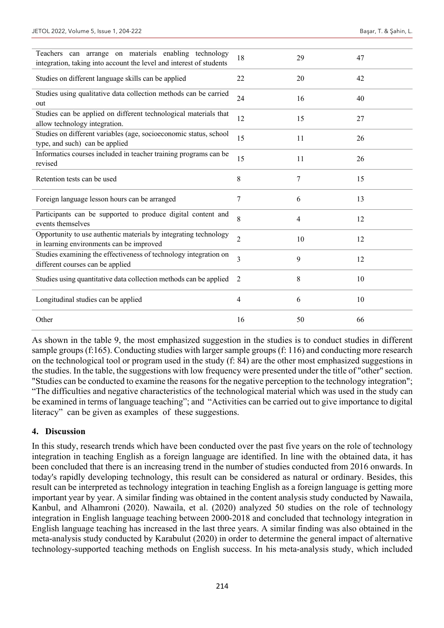| Teachers can arrange on materials enabling technology<br>integration, taking into account the level and interest of students | 18             | 29             | 47 |
|------------------------------------------------------------------------------------------------------------------------------|----------------|----------------|----|
| Studies on different language skills can be applied                                                                          | 22             | 20             | 42 |
| Studies using qualitative data collection methods can be carried<br>out                                                      | 24             | 16             | 40 |
| Studies can be applied on different technological materials that<br>allow technology integration.                            | 12             | 15             | 27 |
| Studies on different variables (age, socioeconomic status, school<br>type, and such) can be applied                          | 15             | 11             | 26 |
| Informatics courses included in teacher training programs can be<br>revised                                                  | 15             | 11             | 26 |
| Retention tests can be used                                                                                                  | 8              | 7              | 15 |
| Foreign language lesson hours can be arranged                                                                                | 7              | 6              | 13 |
| Participants can be supported to produce digital content and<br>events themselves                                            | 8              | $\overline{4}$ | 12 |
| Opportunity to use authentic materials by integrating technology<br>in learning environments can be improved                 | $\overline{2}$ | 10             | 12 |
| Studies examining the effectiveness of technology integration on<br>different courses can be applied                         | $\overline{3}$ | 9              | 12 |
| Studies using quantitative data collection methods can be applied                                                            | 2              | 8              | 10 |
| Longitudinal studies can be applied                                                                                          | 4              | 6              | 10 |
| Other                                                                                                                        | 16             | 50             | 66 |

As shown in the table 9, the most emphasized suggestion in the studies is to conduct studies in different sample groups (f:165). Conducting studies with larger sample groups (f: 116) and conducting more research on the technological tool or program used in the study (f: 84) are the other most emphasized suggestions in the studies. In the table, the suggestions with low frequency were presented under the title of "other" section. "Studies can be conducted to examine the reasons for the negative perception to the technology integration"; "The difficulties and negative characteristics of the technological material which was used in the study can be examined in terms of language teaching"; and "Activities can be carried out to give importance to digital literacy" can be given as examples of these suggestions.

### **4. Discussion**

In this study, research trends which have been conducted over the past five years on the role of technology integration in teaching English as a foreign language are identified. In line with the obtained data, it has been concluded that there is an increasing trend in the number of studies conducted from 2016 onwards. In today's rapidly developing technology, this result can be considered as natural or ordinary. Besides, this result can be interpreted as technology integration in teaching English as a foreign language is getting more important year by year. A similar finding was obtained in the content analysis study conducted by Nawaila, Kanbul, and Alhamroni (2020). Nawaila, et al. (2020) analyzed 50 studies on the role of technology integration in English language teaching between 2000-2018 and concluded that technology integration in English language teaching has increased in the last three years. A similar finding was also obtained in the meta-analysis study conducted by Karabulut (2020) in order to determine the general impact of alternative technology-supported teaching methods on English success. In his meta-analysis study, which included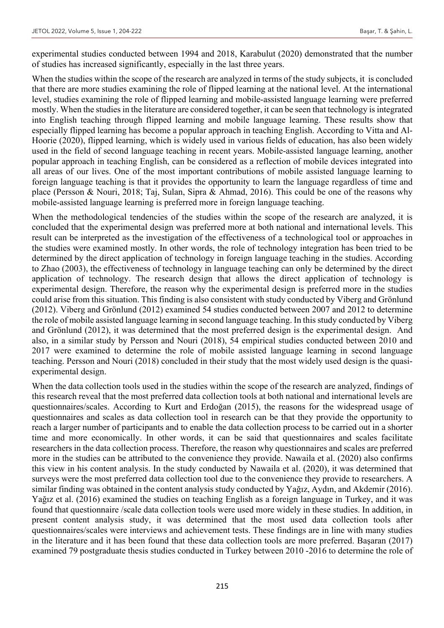experimental studies conducted between 1994 and 2018, Karabulut (2020) demonstrated that the number of studies has increased significantly, especially in the last three years.

When the studies within the scope of the research are analyzed in terms of the study subjects, it is concluded that there are more studies examining the role of flipped learning at the national level. At the international level, studies examining the role of flipped learning and mobile-assisted language learning were preferred mostly. When the studies in the literature are considered together, it can be seen that technology is integrated into English teaching through flipped learning and mobile language learning. These results show that especially flipped learning has become a popular approach in teaching English. According to Vitta and Al-Hoorie (2020), flipped learning, which is widely used in various fields of education, has also been widely used in the field of second language teaching in recent years. Mobile-assisted language learning, another popular approach in teaching English, can be considered as a reflection of mobile devices integrated into all areas of our lives. One of the most important contributions of mobile assisted language learning to foreign language teaching is that it provides the opportunity to learn the language regardless of time and place (Persson & Nouri, 2018; Taj, Sulan, Sipra & Ahmad, 2016). This could be one of the reasons why mobile-assisted language learning is preferred more in foreign language teaching.

When the methodological tendencies of the studies within the scope of the research are analyzed, it is concluded that the experimental design was preferred more at both national and international levels. This result can be interpreted as the investigation of the effectiveness of a technological tool or approaches in the studies were examined mostly. In other words, the role of technology integration has been tried to be determined by the direct application of technology in foreign language teaching in the studies. According to Zhao (2003), the effectiveness of technology in language teaching can only be determined by the direct application of technology. The research design that allows the direct application of technology is experimental design. Therefore, the reason why the experimental design is preferred more in the studies could arise from this situation. This finding is also consistent with study conducted by Viberg and Grönlund (2012). Viberg and Grönlund (2012) examined 54 studies conducted between 2007 and 2012 to determine the role of mobile assisted language learning in second language teaching. In this study conducted by Viberg and Grönlund (2012), it was determined that the most preferred design is the experimental design. And also, in a similar study by Persson and Nouri (2018), 54 empirical studies conducted between 2010 and 2017 were examined to determine the role of mobile assisted language learning in second language teaching. Persson and Nouri (2018) concluded in their study that the most widely used design is the quasiexperimental design.

When the data collection tools used in the studies within the scope of the research are analyzed, findings of this research reveal that the most preferred data collection tools at both national and international levels are questionnaires/scales. According to Kurt and Erdoğan (2015), the reasons for the widespread usage of questionnaires and scales as data collection tool in research can be that they provide the opportunity to reach a larger number of participants and to enable the data collection process to be carried out in a shorter time and more economically. In other words, it can be said that questionnaires and scales facilitate researchers in the data collection process. Therefore, the reason why questionnaires and scales are preferred more in the studies can be attributed to the convenience they provide. Nawaila et al. (2020) also confirms this view in his content analysis. In the study conducted by Nawaila et al. (2020), it was determined that surveys were the most preferred data collection tool due to the convenience they provide to researchers. A similar finding was obtained in the content analysis study conducted by Yağız, Aydın, and Akdemir (2016). Yağız et al. (2016) examined the studies on teaching English as a foreign language in Turkey, and it was found that questionnaire /scale data collection tools were used more widely in these studies. In addition, in present content analysis study, it was determined that the most used data collection tools after questionnaires/scales were interviews and achievement tests. These findings are in line with many studies in the literature and it has been found that these data collection tools are more preferred. Başaran (2017) examined 79 postgraduate thesis studies conducted in Turkey between 2010 -2016 to determine the role of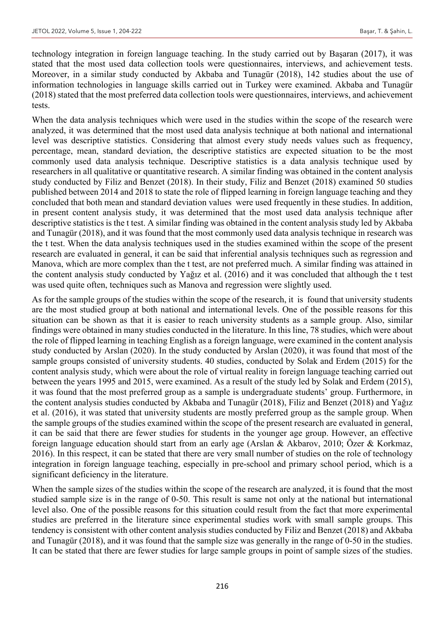technology integration in foreign language teaching. In the study carried out by Başaran (2017), it was stated that the most used data collection tools were questionnaires, interviews, and achievement tests. Moreover, in a similar study conducted by Akbaba and Tunagür (2018), 142 studies about the use of information technologies in language skills carried out in Turkey were examined. Akbaba and Tunagür (2018) stated that the most preferred data collection tools were questionnaires, interviews, and achievement tests.

When the data analysis techniques which were used in the studies within the scope of the research were analyzed, it was determined that the most used data analysis technique at both national and international level was descriptive statistics. Considering that almost every study needs values such as frequency, percentage, mean, standard deviation, the descriptive statistics are expected situation to be the most commonly used data analysis technique. Descriptive statistics is a data analysis technique used by researchers in all qualitative or quantitative research. A similar finding was obtained in the content analysis study conducted by Filiz and Benzet (2018). In their study, Filiz and Benzet (2018) examined 50 studies published between 2014 and 2018 to state the role of flipped learning in foreign language teaching and they concluded that both mean and standard deviation values were used frequently in these studies. In addition, in present content analysis study, it was determined that the most used data analysis technique after descriptive statistics is the t test. A similar finding was obtained in the content analysis study led by Akbaba and Tunagür (2018), and it was found that the most commonly used data analysis technique in research was the t test. When the data analysis techniques used in the studies examined within the scope of the present research are evaluated in general, it can be said that inferential analysis techniques such as regression and Manova, which are more complex than the t test, are not preferred much. A similar finding was attained in the content analysis study conducted by Yağız et al. (2016) and it was concluded that although the t test was used quite often, techniques such as Manova and regression were slightly used.

As for the sample groups of the studies within the scope of the research, it is found that university students are the most studied group at both national and international levels. One of the possible reasons for this situation can be shown as that it is easier to reach university students as a sample group. Also, similar findings were obtained in many studies conducted in the literature. In this line, 78 studies, which were about the role of flipped learning in teaching English as a foreign language, were examined in the content analysis study conducted by Arslan (2020). In the study conducted by Arslan (2020), it was found that most of the sample groups consisted of university students. 40 studies, conducted by Solak and Erdem (2015) for the content analysis study, which were about the role of virtual reality in foreign language teaching carried out between the years 1995 and 2015, were examined. As a result of the study led by Solak and Erdem (2015), it was found that the most preferred group as a sample is undergraduate students' group. Furthermore, in the content analysis studies conducted by Akbaba and Tunagür (2018), Filiz and Benzet (2018) and Yağız et al. (2016), it was stated that university students are mostly preferred group as the sample group. When the sample groups of the studies examined within the scope of the present research are evaluated in general, it can be said that there are fewer studies for students in the younger age group. However, an effective foreign language education should start from an early age (Arslan & Akbarov, 2010; Özer & Korkmaz, 2016). In this respect, it can be stated that there are very small number of studies on the role of technology integration in foreign language teaching, especially in pre-school and primary school period, which is a significant deficiency in the literature.

When the sample sizes of the studies within the scope of the research are analyzed, it is found that the most studied sample size is in the range of 0-50. This result is same not only at the national but international level also. One of the possible reasons for this situation could result from the fact that more experimental studies are preferred in the literature since experimental studies work with small sample groups. This tendency is consistent with other content analysis studies conducted by Filiz and Benzet (2018) and Akbaba and Tunagür (2018), and it was found that the sample size was generally in the range of 0-50 in the studies. It can be stated that there are fewer studies for large sample groups in point of sample sizes of the studies.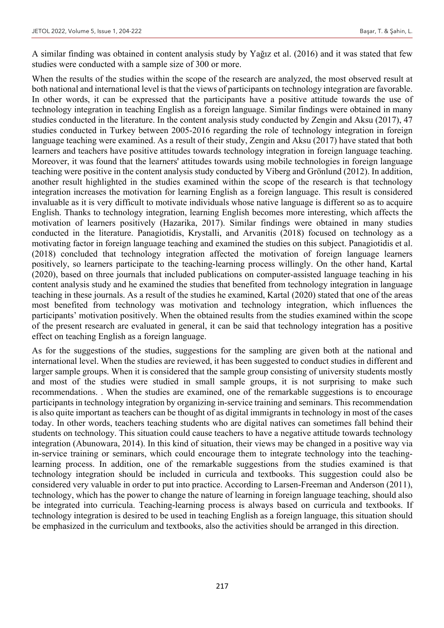A similar finding was obtained in content analysis study by Yağız et al. (2016) and it was stated that few studies were conducted with a sample size of 300 or more.

When the results of the studies within the scope of the research are analyzed, the most observed result at both national and international level is that the views of participants on technology integration are favorable. In other words, it can be expressed that the participants have a positive attitude towards the use of technology integration in teaching English as a foreign language. Similar findings were obtained in many studies conducted in the literature. In the content analysis study conducted by Zengin and Aksu (2017), 47 studies conducted in Turkey between 2005-2016 regarding the role of technology integration in foreign language teaching were examined. As a result of their study, Zengin and Aksu (2017) have stated that both learners and teachers have positive attitudes towards technology integration in foreign language teaching. Moreover, it was found that the learners' attitudes towards using mobile technologies in foreign language teaching were positive in the content analysis study conducted by Viberg and Grönlund (2012). In addition, another result highlighted in the studies examined within the scope of the research is that technology integration increases the motivation for learning English as a foreign language. This result is considered invaluable as it is very difficult to motivate individuals whose native language is different so as to acquire English. Thanks to technology integration, learning English becomes more interesting, which affects the motivation of learners positively (Hazarika, 2017). Similar findings were obtained in many studies conducted in the literature. Panagiotidis, Krystalli, and Arvanitis (2018) focused on technology as a motivating factor in foreign language teaching and examined the studies on this subject. Panagiotidis et al. (2018) concluded that technology integration affected the motivation of foreign language learners positively, so learners participate to the teaching-learning process willingly. On the other hand, Kartal (2020), based on three journals that included publications on computer-assisted language teaching in his content analysis study and he examined the studies that benefited from technology integration in language teaching in these journals. As a result of the studies he examined, Kartal (2020) stated that one of the areas most benefited from technology was motivation and technology integration, which influences the participants' motivation positively. When the obtained results from the studies examined within the scope of the present research are evaluated in general, it can be said that technology integration has a positive effect on teaching English as a foreign language.

As for the suggestions of the studies, suggestions for the sampling are given both at the national and international level. When the studies are reviewed, it has been suggested to conduct studies in different and larger sample groups. When it is considered that the sample group consisting of university students mostly and most of the studies were studied in small sample groups, it is not surprising to make such recommendations. . When the studies are examined, one of the remarkable suggestions is to encourage participants in technology integration by organizing in-service training and seminars. This recommendation is also quite important as teachers can be thought of as digital immigrants in technology in most of the cases today. In other words, teachers teaching students who are digital natives can sometimes fall behind their students on technology. This situation could cause teachers to have a negative attitude towards technology integration (Abunowara, 2014). In this kind of situation, their views may be changed in a positive way via in-service training or seminars, which could encourage them to integrate technology into the teachinglearning process. In addition, one of the remarkable suggestions from the studies examined is that technology integration should be included in curricula and textbooks. This suggestion could also be considered very valuable in order to put into practice. According to Larsen-Freeman and Anderson (2011), technology, which has the power to change the nature of learning in foreign language teaching, should also be integrated into curricula. Teaching-learning process is always based on curricula and textbooks. If technology integration is desired to be used in teaching English as a foreign language, this situation should be emphasized in the curriculum and textbooks, also the activities should be arranged in this direction.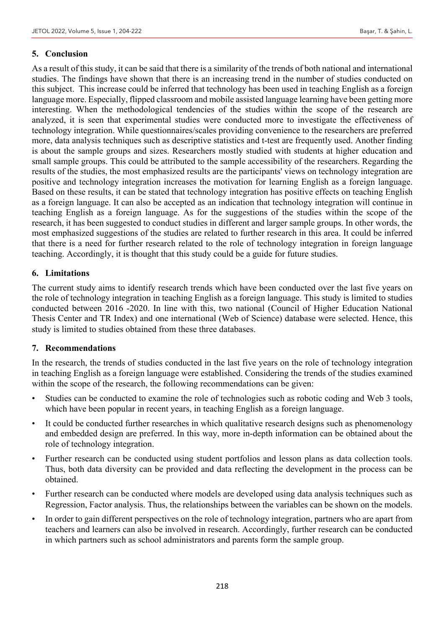### **5. Conclusion**

As a result of this study, it can be said that there is a similarity of the trends of both national and international studies. The findings have shown that there is an increasing trend in the number of studies conducted on this subject. This increase could be inferred that technology has been used in teaching English as a foreign language more. Especially, flipped classroom and mobile assisted language learning have been getting more interesting. When the methodological tendencies of the studies within the scope of the research are analyzed, it is seen that experimental studies were conducted more to investigate the effectiveness of technology integration. While questionnaires/scales providing convenience to the researchers are preferred more, data analysis techniques such as descriptive statistics and t-test are frequently used. Another finding is about the sample groups and sizes. Researchers mostly studied with students at higher education and small sample groups. This could be attributed to the sample accessibility of the researchers. Regarding the results of the studies, the most emphasized results are the participants' views on technology integration are positive and technology integration increases the motivation for learning English as a foreign language. Based on these results, it can be stated that technology integration has positive effects on teaching English as a foreign language. It can also be accepted as an indication that technology integration will continue in teaching English as a foreign language. As for the suggestions of the studies within the scope of the research, it has been suggested to conduct studies in different and larger sample groups. In other words, the most emphasized suggestions of the studies are related to further research in this area. It could be inferred that there is a need for further research related to the role of technology integration in foreign language teaching. Accordingly, it is thought that this study could be a guide for future studies.

### **6. Limitations**

The current study aims to identify research trends which have been conducted over the last five years on the role of technology integration in teaching English as a foreign language. This study is limited to studies conducted between 2016 -2020. In line with this, two national (Council of Higher Education National Thesis Center and TR Index) and one international (Web of Science) database were selected. Hence, this study is limited to studies obtained from these three databases.

### **7. Recommendations**

In the research, the trends of studies conducted in the last five years on the role of technology integration in teaching English as a foreign language were established. Considering the trends of the studies examined within the scope of the research, the following recommendations can be given:

- Studies can be conducted to examine the role of technologies such as robotic coding and Web 3 tools, which have been popular in recent years, in teaching English as a foreign language.
- It could be conducted further researches in which qualitative research designs such as phenomenology and embedded design are preferred. In this way, more in-depth information can be obtained about the role of technology integration.
- Further research can be conducted using student portfolios and lesson plans as data collection tools. Thus, both data diversity can be provided and data reflecting the development in the process can be obtained.
- Further research can be conducted where models are developed using data analysis techniques such as Regression, Factor analysis. Thus, the relationships between the variables can be shown on the models.
- In order to gain different perspectives on the role of technology integration, partners who are apart from teachers and learners can also be involved in research. Accordingly, further research can be conducted in which partners such as school administrators and parents form the sample group.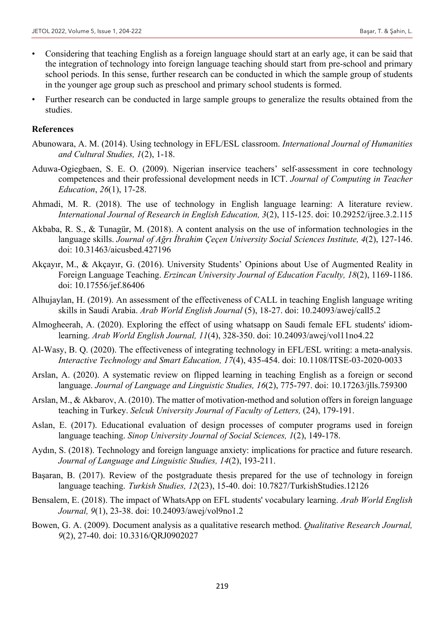- Considering that teaching English as a foreign language should start at an early age, it can be said that the integration of technology into foreign language teaching should start from pre-school and primary school periods. In this sense, further research can be conducted in which the sample group of students in the younger age group such as preschool and primary school students is formed.
- Further research can be conducted in large sample groups to generalize the results obtained from the studies.

#### **References**

- Abunowara, A. M. (2014). Using technology in EFL/ESL classroom. *International Journal of Humanities and Cultural Studies, 1*(2), 1-18.
- Aduwa-Ogiegbaen, S. E. O. (2009). Nigerian inservice teachers' self-assessment in core technology competences and their professional development needs in ICT. *Journal of Computing in Teacher Education*, *26*(1), 17-28.
- Ahmadi, M. R. (2018). The use of technology in English language learning: A literature review. *International Journal of Research in English Education, 3*(2), 115-125. doi: 10.29252/ijree.3.2.115
- Akbaba, R. S., & Tunagür, M. (2018). A content analysis on the use of information technologies in the language skills. *Journal of Ağrı İbrahim Çeçen University Social Sciences Institute, 4*(2), 127-146. doi: 10.31463/aicusbed.427196
- Akçayır, M., & Akçayır, G. (2016). University Students' Opinions about Use of Augmented Reality in Foreign Language Teaching. *Erzincan University Journal of Education Faculty, 18*(2), 1169-1186. doi: 10.17556/jef.86406
- Alhujaylan, H. (2019). An assessment of the effectiveness of CALL in teaching English language writing skills in Saudi Arabia. *Arab World English Journal* (5), 18-27. doi: 10.24093/awej/call5.2
- Almogheerah, A. (2020). Exploring the effect of using whatsapp on Saudi female EFL students' idiomlearning. *Arab World English Journal, 11*(4), 328-350. doi: 10.24093/awej/vol11no4.22
- Al-Wasy, B. Q. (2020). The effectiveness of integrating technology in EFL/ESL writing: a meta-analysis. *Interactive Technology and Smart Education, 17*(4), 435-454. doi: 10.1108/ITSE-03-2020-0033
- Arslan, A. (2020). A systematic review on flipped learning in teaching English as a foreign or second language. *Journal of Language and Linguistic Studies, 16*(2), 775-797. doi: 10.17263/jlls.759300
- Arslan, M., & Akbarov, A. (2010). The matter of motivation-method and solution offers in foreign language teaching in Turkey. *Selcuk University Journal of Faculty of Letters,* (24), 179-191.
- Aslan, E. (2017). Educational evaluation of design processes of computer programs used in foreign language teaching. *Sinop University Journal of Social Sciences, 1*(2), 149-178.
- Aydın, S. (2018). Technology and foreign language anxiety: implications for practice and future research. *Journal of Language and Linguistic Studies, 14*(2), 193-211.
- Başaran, B. (2017). Review of the postgraduate thesis prepared for the use of technology in foreign language teaching. *Turkish Studies, 12*(23), 15-40. doi: 10.7827/TurkishStudies.12126
- Bensalem, E. (2018). The impact of WhatsApp on EFL students' vocabulary learning. *Arab World English Journal, 9*(1), 23-38. doi: 10.24093/awej/vol9no1.2
- Bowen, G. A. (2009). Document analysis as a qualitative research method. *Qualitative Research Journal, 9*(2), 27-40. doi: 10.3316/QRJ0902027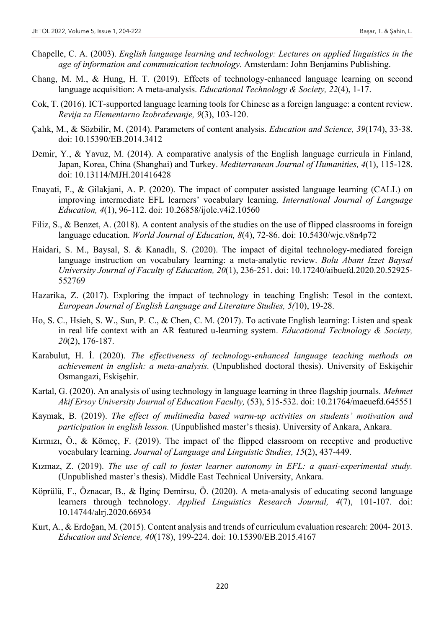- Chapelle, C. A. (2003). *English language learning and technology: Lectures on applied linguistics in the age of information and communication technology*. Amsterdam: John Benjamins Publishing.
- Chang, M. M., & Hung, H. T. (2019). Effects of technology-enhanced language learning on second language acquisition: A meta-analysis. *Educational Technology & Society, 22*(4), 1-17.
- Cok, T. (2016). ICT-supported language learning tools for Chinese as a foreign language: a content review. *Revija za Elementarno Izobraževanje, 9*(3), 103-120.
- Çalık, M., & Sözbilir, M. (2014). Parameters of content analysis. *Education and Science, 39*(174), 33-38. doi: 10.15390/EB.2014.3412
- Demir, Y., & Yavuz, M. (2014). A comparative analysis of the English language curricula in Finland, Japan, Korea, China (Shanghai) and Turkey. *Mediterranean Journal of Humanities, 4*(1), 115-128. doi: 10.13114/MJH.201416428
- Enayati, F., & Gilakjani, A. P. (2020). The impact of computer assisted language learning (CALL) on improving intermediate EFL learners' vocabulary learning. *International Journal of Language Education, 4*(1), 96-112. doi: 10.26858/ijole.v4i2.10560
- Filiz, S., & Benzet, A. (2018). A content analysis of the studies on the use of flipped classrooms in foreign language education. *World Journal of Education, 8*(4), 72-86. doi: 10.5430/wje.v8n4p72
- Haidari, S. M., Baysal, S. & Kanadlı, S. (2020). The impact of digital technology-mediated foreign language instruction on vocabulary learning: a meta-analytic review. *Bolu Abant Izzet Baysal University Journal of Faculty of Education, 20*(1), 236-251. doi: 10.17240/aibuefd.2020.20.52925- 552769
- Hazarika, Z. (2017). Exploring the impact of technology in teaching English: Tesol in the context. *European Journal of English Language and Literature Studies, 5(*10), 19-28.
- Ho, S. C., Hsieh, S. W., Sun, P. C., & Chen, C. M. (2017). To activate English learning: Listen and speak in real life context with an AR featured u-learning system. *Educational Technology & Society, 20*(2), 176-187.
- Karabulut, H. İ. (2020). *The effectiveness of technology-enhanced language teaching methods on achievement in english: a meta-analysis.* (Unpublished doctoral thesis). University of Eskişehir Osmangazi, Eskişehir.
- Kartal, G. (2020). An analysis of using technology in language learning in three flagship journals. *Mehmet Akif Ersoy University Journal of Education Faculty,* (53), 515-532. doi: 10.21764/maeuefd.645551
- Kaymak, B. (2019). *The effect of multimedia based warm-up activities on students' motivation and participation in english lesson.* (Unpublished master's thesis). University of Ankara, Ankara.
- Kırmızı, Ö., & Kömeç, F. (2019). The impact of the flipped classroom on receptive and productive vocabulary learning. *Journal of Language and Linguistic Studies, 15*(2), 437-449.
- Kızmaz, Z. (2019). *The use of call to foster learner autonomy in EFL: a quasi-experimental study.*  (Unpublished master's thesis). Middle East Technical University, Ankara.
- Köprülü, F., Öznacar, B., & İlginç Demirsu, Ö. (2020). A meta-analysis of educating second language learners through technology. *Applied Linguistics Research Journal, 4*(7), 101-107. doi: 10.14744/alrj.2020.66934
- Kurt, A., & Erdoğan, M. (2015). Content analysis and trends of curriculum evaluation research: 2004- 2013. *Education and Science, 40*(178), 199-224. doi: 10.15390/EB.2015.4167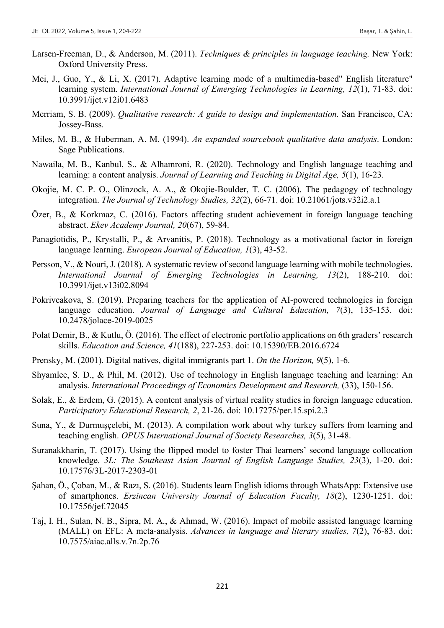- Larsen-Freeman, D., & Anderson, M. (2011). *Techniques & principles in language teaching.* New York: Oxford University Press.
- Mei, J., Guo, Y., & Li, X. (2017). Adaptive learning mode of a multimedia-based" English literature" learning system. *International Journal of Emerging Technologies in Learning, 12*(1), 71-83. doi: 10.3991/ijet.v12i01.6483
- Merriam, S. B. (2009). *Qualitative research: A guide to design and implementation.* San Francisco, CA: Jossey-Bass.
- Miles, M. B., & Huberman, A. M. (1994). *An expanded sourcebook qualitative data analysis*. London: Sage Publications.
- Nawaila, M. B., Kanbul, S., & Alhamroni, R. (2020). Technology and English language teaching and learning: a content analysis. *Journal of Learning and Teaching in Digital Age, 5*(1), 16-23.
- Okojie, M. C. P. O., Olinzock, A. A., & Okojie-Boulder, T. C. (2006). The pedagogy of technology integration. *The Journal of Technology Studies, 32*(2), 66-71. doi: 10.21061/jots.v32i2.a.1
- Özer, B., & Korkmaz, C. (2016). Factors affecting student achievement in foreign language teaching abstract. *Ekev Academy Journal, 20*(67), 59-84.
- Panagiotidis, P., Krystalli, P., & Arvanitis, P. (2018). Technology as a motivational factor in foreign language learning. *European Journal of Education, 1*(3), 43-52.
- Persson, V., & Nouri, J. (2018). A systematic review of second language learning with mobile technologies. *International Journal of Emerging Technologies in Learning, 13*(2), 188-210. doi: 10.3991/ijet.v13i02.8094
- Pokrivcakova, S. (2019). Preparing teachers for the application of AI-powered technologies in foreign language education. *Journal of Language and Cultural Education, 7*(3), 135-153. doi: 10.2478/jolace-2019-0025
- Polat Demir, B., & Kutlu, Ö. (2016). The effect of electronic portfolio applications on 6th graders' research skills. *Education and Science, 41*(188), 227-253. doi: 10.15390/EB.2016.6724
- Prensky, M. (2001). Digital natives, digital immigrants part 1. *On the Horizon, 9*(5), 1-6.
- Shyamlee, S. D., & Phil, M. (2012). Use of technology in English language teaching and learning: An analysis. *International Proceedings of Economics Development and Research,* (33), 150-156.
- Solak, E., & Erdem, G. (2015). A content analysis of virtual reality studies in foreign language education. *Participatory Educational Research, 2*, 21-26. doi: 10.17275/per.15.spi.2.3
- Suna, Y., & Durmuşçelebi, M. (2013). A compilation work about why turkey suffers from learning and teaching english. *OPUS International Journal of Society Researches, 3*(5), 31-48.
- Suranakkharin, T. (2017). Using the flipped model to foster Thai learners' second language collocation knowledge. *3L: The Southeast Asian Journal of English Language Studies, 23*(3), 1-20. doi: 10.17576/3L-2017-2303-01
- Şahan, Ö., Çoban, M., & Razı, S. (2016). Students learn English idioms through WhatsApp: Extensive use of smartphones. *Erzincan University Journal of Education Faculty, 18*(2), 1230-1251. doi: 10.17556/jef.72045
- Taj, I. H., Sulan, N. B., Sipra, M. A., & Ahmad, W. (2016). Impact of mobile assisted language learning (MALL) on EFL: A meta-analysis. *Advances in language and literary studies, 7*(2), 76-83. doi: 10.7575/aiac.alls.v.7n.2p.76